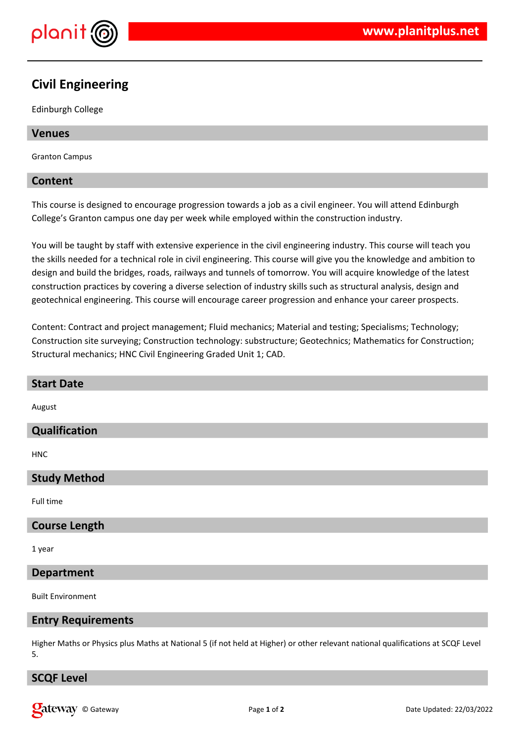

# **Civil Engineering**

Edinburgh College

## **Venues**

Granton Campus

#### **Content**

This course is designed to encourage progression towards a job as a civil engineer. You will attend Edinburgh College's Granton campus one day per week while employed within the construction industry.

You will be taught by staff with extensive experience in the civil engineering industry. This course will teach you the skills needed for a technical role in civil engineering. This course will give you the knowledge and ambition to design and build the bridges, roads, railways and tunnels of tomorrow. You will acquire knowledge of the latest construction practices by covering a diverse selection of industry skills such as structural analysis, design and geotechnical engineering. This course will encourage career progression and enhance your career prospects.

Content: Contract and project management; Fluid mechanics; Material and testing; Specialisms; Technology; Construction site surveying; Construction technology: substructure; Geotechnics; Mathematics for Construction; Structural mechanics; HNC Civil Engineering Graded Unit 1; CAD.

| <b>Start Date</b>         |
|---------------------------|
| August                    |
| Qualification             |
| <b>HNC</b>                |
| <b>Study Method</b>       |
| Full time                 |
| <b>Course Length</b>      |
| 1 year                    |
| <b>Department</b>         |
| <b>Built Environment</b>  |
| <b>Entry Requirements</b> |

Higher Maths or Physics plus Maths at National 5 (if not held at Higher) or other relevant national qualifications at SCQF Level 5.

#### **SCQF Level**